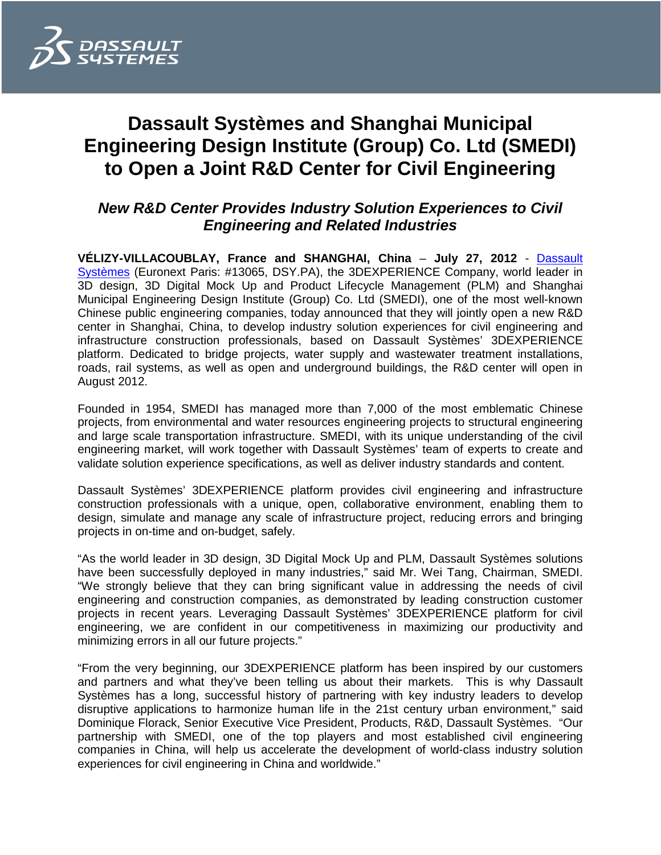

# **Dassault Systèmes and Shanghai Municipal Engineering Design Institute (Group) Co. Ltd (SMEDI) to Open a Joint R&D Center for Civil Engineering**

# **New R&D Center Provides Industry Solution Experiences to Civil Engineering and Related Industries**

**VÉLIZY-VILLACOUBLAY, France and SHANGHAI, China** – **July 27, 2012** - Dassault Systèmes (Euronext Paris: #13065, DSY.PA), the 3DEXPERIENCE Company, world leader in 3D design, 3D Digital Mock Up and Product Lifecycle Management (PLM) and Shanghai Municipal Engineering Design Institute (Group) Co. Ltd (SMEDI), one of the most well-known Chinese public engineering companies, today announced that they will jointly open a new R&D center in Shanghai, China, to develop industry solution experiences for civil engineering and infrastructure construction professionals, based on Dassault Systèmes' 3DEXPERIENCE platform. Dedicated to bridge projects, water supply and wastewater treatment installations, roads, rail systems, as well as open and underground buildings, the R&D center will open in August 2012.

Founded in 1954, SMEDI has managed more than 7,000 of the most emblematic Chinese projects, from environmental and water resources engineering projects to structural engineering and large scale transportation infrastructure. SMEDI, with its unique understanding of the civil engineering market, will work together with Dassault Systèmes' team of experts to create and validate solution experience specifications, as well as deliver industry standards and content.

Dassault Systèmes' 3DEXPERIENCE platform provides civil engineering and infrastructure construction professionals with a unique, open, collaborative environment, enabling them to design, simulate and manage any scale of infrastructure project, reducing errors and bringing projects in on-time and on-budget, safely.

"As the world leader in 3D design, 3D Digital Mock Up and PLM, Dassault Systèmes solutions have been successfully deployed in many industries," said Mr. Wei Tang, Chairman, SMEDI. "We strongly believe that they can bring significant value in addressing the needs of civil engineering and construction companies, as demonstrated by leading construction customer projects in recent years. Leveraging Dassault Systèmes' 3DEXPERIENCE platform for civil engineering, we are confident in our competitiveness in maximizing our productivity and minimizing errors in all our future projects."

"From the very beginning, our 3DEXPERIENCE platform has been inspired by our customers and partners and what they've been telling us about their markets. This is why Dassault Systèmes has a long, successful history of partnering with key industry leaders to develop disruptive applications to harmonize human life in the 21st century urban environment," said Dominique Florack, Senior Executive Vice President, Products, R&D, Dassault Systèmes. "Our partnership with SMEDI, one of the top players and most established civil engineering companies in China, will help us accelerate the development of world-class industry solution experiences for civil engineering in China and worldwide."